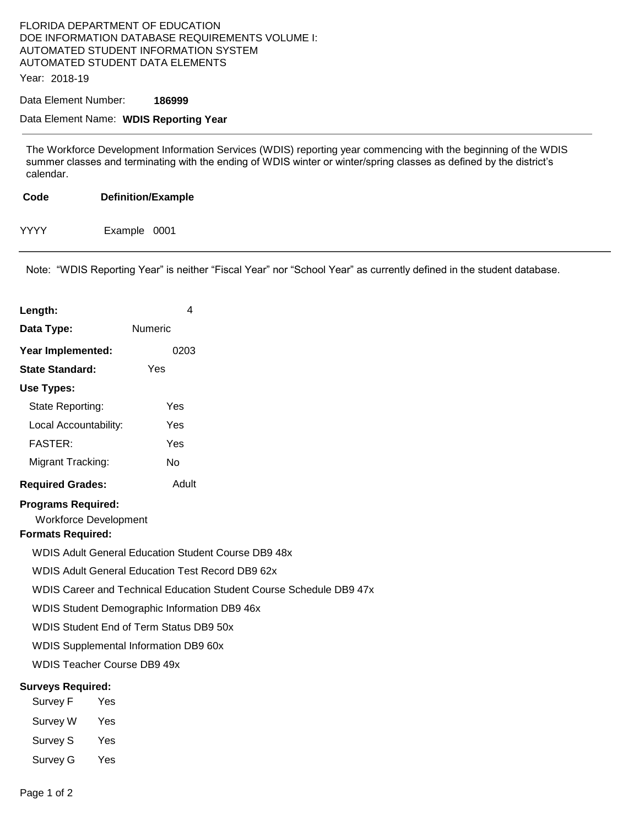## FLORIDA DEPARTMENT OF EDUCATION DOE INFORMATION DATABASE REQUIREMENTS VOLUME I: AUTOMATED STUDENT INFORMATION SYSTEM AUTOMATED STUDENT DATA ELEMENTS

Year: 2018-19

Data Element Number: **186999** 

## Data Element Name: **WDIS Reporting Year**

The Workforce Development Information Services (WDIS) reporting year commencing with the beginning of the WDIS summer classes and terminating with the ending of WDIS winter or winter/spring classes as defined by the district's calendar.

| Code        | <b>Definition/Example</b> |
|-------------|---------------------------|
| <b>YYYY</b> | Example 0001              |

Note: "WDIS Reporting Year" is neither "Fiscal Year" nor "School Year" as currently defined in the student database.

| Length:                                                                               | 4                                                                                                                                                                                                                                                                                                                                                                      |
|---------------------------------------------------------------------------------------|------------------------------------------------------------------------------------------------------------------------------------------------------------------------------------------------------------------------------------------------------------------------------------------------------------------------------------------------------------------------|
| Data Type:                                                                            | Numeric                                                                                                                                                                                                                                                                                                                                                                |
| Year Implemented:                                                                     | 0203                                                                                                                                                                                                                                                                                                                                                                   |
| <b>State Standard:</b>                                                                | Yes                                                                                                                                                                                                                                                                                                                                                                    |
| Use Types:                                                                            |                                                                                                                                                                                                                                                                                                                                                                        |
| State Reporting:                                                                      | Yes                                                                                                                                                                                                                                                                                                                                                                    |
| Local Accountability:                                                                 | Yes                                                                                                                                                                                                                                                                                                                                                                    |
| <b>FASTER:</b>                                                                        | Yes                                                                                                                                                                                                                                                                                                                                                                    |
| Migrant Tracking:                                                                     | No                                                                                                                                                                                                                                                                                                                                                                     |
| <b>Required Grades:</b>                                                               | Adult                                                                                                                                                                                                                                                                                                                                                                  |
| <b>Programs Required:</b><br><b>Workforce Development</b><br><b>Formats Required:</b> | <b>WDIS Adult General Education Student Course DB9 48x</b><br><b>WDIS Adult General Education Test Record DB9 62x</b><br>WDIS Career and Technical Education Student Course Schedule DB9 47x<br>WDIS Student Demographic Information DB9 46x<br>WDIS Student End of Term Status DB9 50x<br>WDIS Supplemental Information DB9 60x<br><b>WDIS Teacher Course DB9 49x</b> |
| <b>Surveys Required:</b>                                                              |                                                                                                                                                                                                                                                                                                                                                                        |
| Survey F                                                                              | Yes                                                                                                                                                                                                                                                                                                                                                                    |
| Survey W                                                                              | Yes                                                                                                                                                                                                                                                                                                                                                                    |
| Survey S                                                                              | Yes                                                                                                                                                                                                                                                                                                                                                                    |
| Survey G                                                                              | Yes                                                                                                                                                                                                                                                                                                                                                                    |
| Page 1 of 2                                                                           |                                                                                                                                                                                                                                                                                                                                                                        |